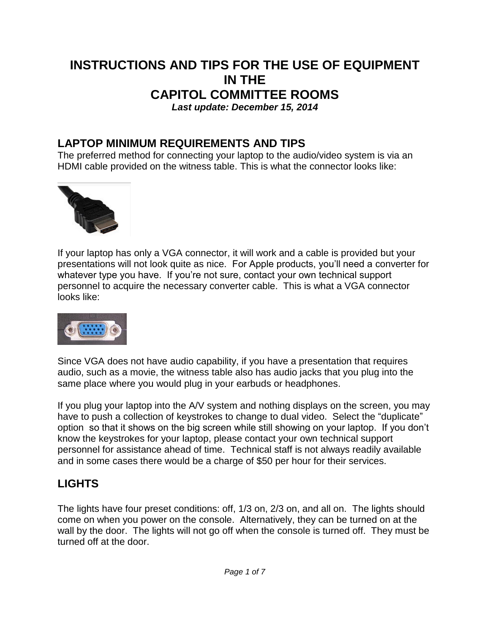### **INSTRUCTIONS AND TIPS FOR THE USE OF EQUIPMENT IN THE CAPITOL COMMITTEE ROOMS** *Last update: December 15, 2014*

### **LAPTOP MINIMUM REQUIREMENTS AND TIPS**

The preferred method for connecting your laptop to the audio/video system is via an HDMI cable provided on the witness table. This is what the connector looks like:



If your laptop has only a VGA connector, it will work and a cable is provided but your presentations will not look quite as nice. For Apple products, you'll need a converter for whatever type you have. If you're not sure, contact your own technical support personnel to acquire the necessary converter cable. This is what a VGA connector looks like:



Since VGA does not have audio capability, if you have a presentation that requires audio, such as a movie, the witness table also has audio jacks that you plug into the same place where you would plug in your earbuds or headphones.

If you plug your laptop into the A/V system and nothing displays on the screen, you may have to push a collection of keystrokes to change to dual video. Select the "duplicate" option so that it shows on the big screen while still showing on your laptop. If you don't know the keystrokes for your laptop, please contact your own technical support personnel for assistance ahead of time. Technical staff is not always readily available and in some cases there would be a charge of \$50 per hour for their services.

# **LIGHTS**

The lights have four preset conditions: off, 1/3 on, 2/3 on, and all on. The lights should come on when you power on the console. Alternatively, they can be turned on at the wall by the door. The lights will not go off when the console is turned off. They must be turned off at the door.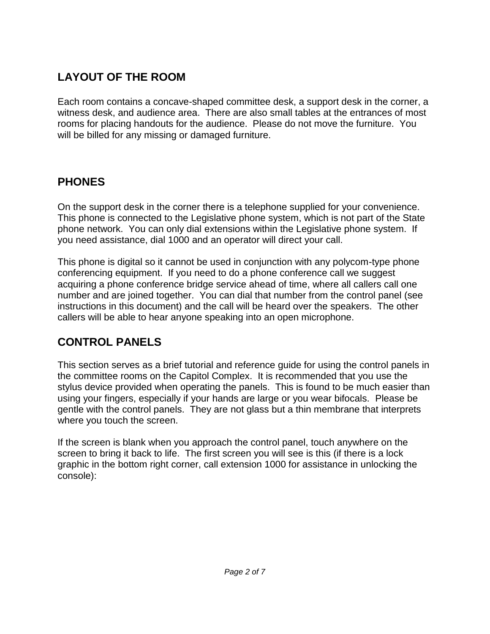# **LAYOUT OF THE ROOM**

Each room contains a concave-shaped committee desk, a support desk in the corner, a witness desk, and audience area. There are also small tables at the entrances of most rooms for placing handouts for the audience. Please do not move the furniture. You will be billed for any missing or damaged furniture.

# **PHONES**

On the support desk in the corner there is a telephone supplied for your convenience. This phone is connected to the Legislative phone system, which is not part of the State phone network. You can only dial extensions within the Legislative phone system. If you need assistance, dial 1000 and an operator will direct your call.

This phone is digital so it cannot be used in conjunction with any polycom-type phone conferencing equipment. If you need to do a phone conference call we suggest acquiring a phone conference bridge service ahead of time, where all callers call one number and are joined together. You can dial that number from the control panel (see instructions in this document) and the call will be heard over the speakers. The other callers will be able to hear anyone speaking into an open microphone.

# **CONTROL PANELS**

This section serves as a brief tutorial and reference guide for using the control panels in the committee rooms on the Capitol Complex. It is recommended that you use the stylus device provided when operating the panels. This is found to be much easier than using your fingers, especially if your hands are large or you wear bifocals. Please be gentle with the control panels. They are not glass but a thin membrane that interprets where you touch the screen.

If the screen is blank when you approach the control panel, touch anywhere on the screen to bring it back to life. The first screen you will see is this (if there is a lock graphic in the bottom right corner, call extension 1000 for assistance in unlocking the console):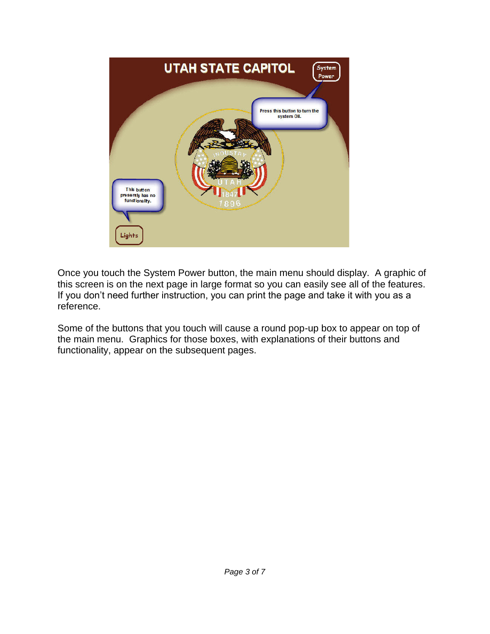

Once you touch the System Power button, the main menu should display. A graphic of this screen is on the next page in large format so you can easily see all of the features. If you don't need further instruction, you can print the page and take it with you as a reference.

Some of the buttons that you touch will cause a round pop-up box to appear on top of the main menu. Graphics for those boxes, with explanations of their buttons and functionality, appear on the subsequent pages.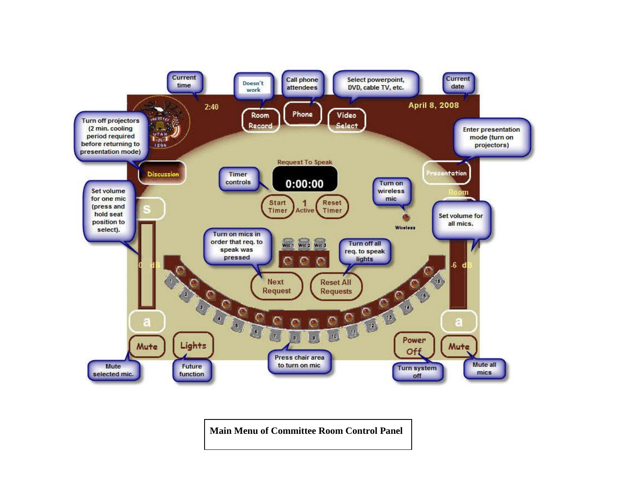

**Main Menu of Committee Room Control Panel**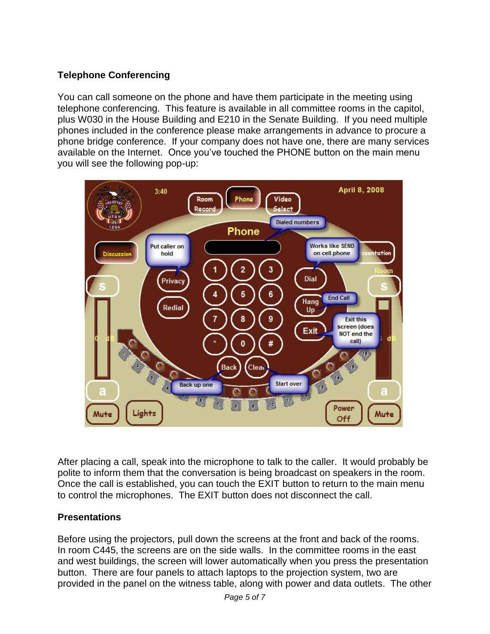### **Telephone Conferencing**

You can call someone on the phone and have them participate in the meeting using telephone conferencing. This feature is available in all committee rooms in the capitol, plus W030 in the House Building and E210 in the Senate Building. If you need multiple phones included in the conference please make arrangements in advance to procure a phone bridge conference. If your company does not have one, there are many services available on the Internet. Once you've touched the PHONE button on the main menu you will see the following pop-up:



After placing a call, speak into the microphone to talk to the caller. It would probably be polite to inform them that the conversation is being broadcast on speakers in the room. Once the call is established, you can touch the EXIT button to return to the main menu to control the microphones. The EXIT button does not disconnect the call.

### **Presentations**

Before using the projectors, pull down the screens at the front and back of the rooms. In room C445, the screens are on the side walls. In the committee rooms in the east and west buildings, the screen will lower automatically when you press the presentation button. There are four panels to attach laptops to the projection system, two are provided in the panel on the witness table, along with power and data outlets. The other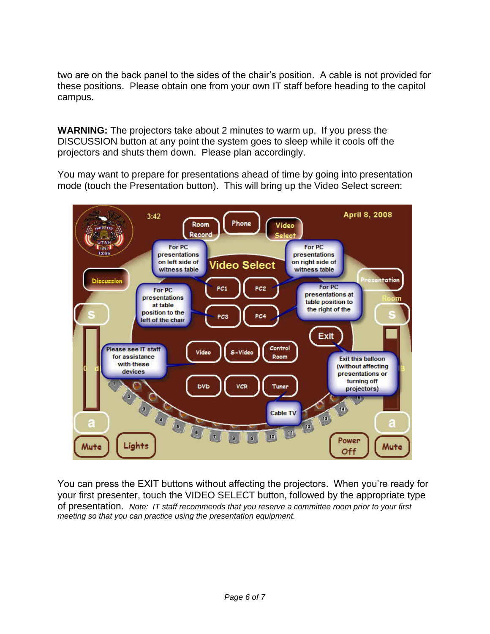two are on the back panel to the sides of the chair's position. A cable is not provided for these positions. Please obtain one from your own IT staff before heading to the capitol campus.

**WARNING:** The projectors take about 2 minutes to warm up. If you press the DISCUSSION button at any point the system goes to sleep while it cools off the projectors and shuts them down. Please plan accordingly.

You may want to prepare for presentations ahead of time by going into presentation mode (touch the Presentation button). This will bring up the Video Select screen:



You can press the EXIT buttons without affecting the projectors. When you're ready for your first presenter, touch the VIDEO SELECT button, followed by the appropriate type of presentation. *Note: IT staff recommends that you reserve a committee room prior to your first meeting so that you can practice using the presentation equipment.*